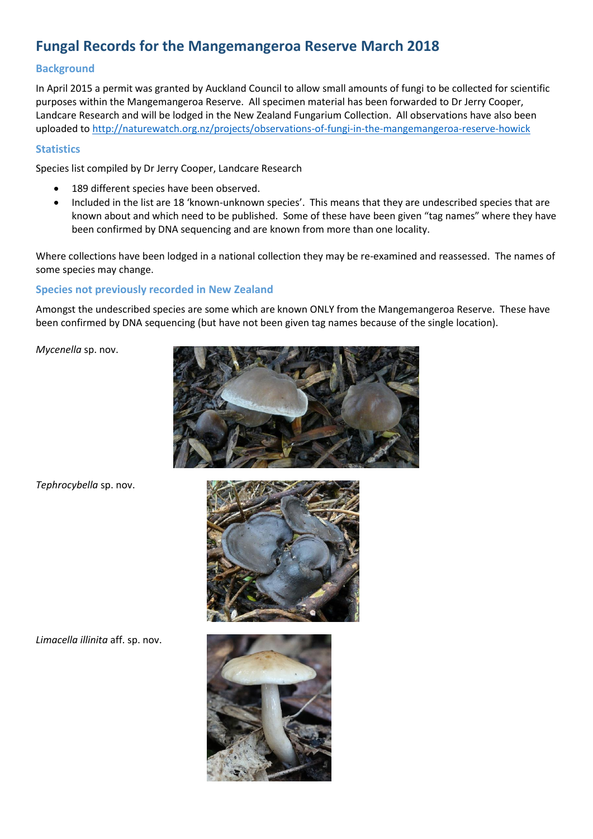# **Fungal Records for the Mangemangeroa Reserve March 2018**

### **Background**

In April 2015 a permit was granted by Auckland Council to allow small amounts of fungi to be collected for scientific purposes within the Mangemangeroa Reserve. All specimen material has been forwarded to Dr Jerry Cooper, Landcare Research and will be lodged in the New Zealand Fungarium Collection. All observations have also been uploaded t[o http://naturewatch.org.nz/projects/observations-of-fungi-in-the-mangemangeroa-reserve-howick](http://naturewatch.org.nz/projects/observations-of-fungi-in-the-mangemangeroa-reserve-howick)

#### **Statistics**

Species list compiled by Dr Jerry Cooper, Landcare Research

- 189 different species have been observed.
- Included in the list are 18 'known-unknown species'. This means that they are undescribed species that are known about and which need to be published. Some of these have been given "tag names" where they have been confirmed by DNA sequencing and are known from more than one locality.

Where collections have been lodged in a national collection they may be re-examined and reassessed. The names of some species may change.

## **Species not previously recorded in New Zealand**

Amongst the undescribed species are some which are known ONLY from the Mangemangeroa Reserve. These have been confirmed by DNA sequencing (but have not been given tag names because of the single location).

*Mycenella* sp. nov.



*Tephrocybella* sp. nov.



*Limacella illinita* aff. sp. nov.

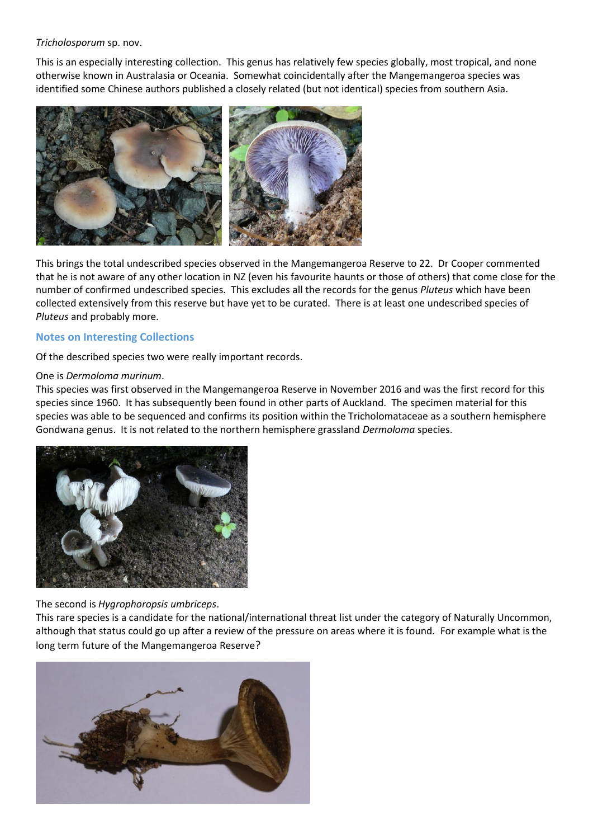#### *Tricholosporum* sp. nov.

This is an especially interesting collection. This genus has relatively few species globally, most tropical, and none otherwise known in Australasia or Oceania. Somewhat coincidentally after the Mangemangeroa species was identified some Chinese authors published a closely related (but not identical) species from southern Asia.



This brings the total undescribed species observed in the Mangemangeroa Reserve to 22. Dr Cooper commented that he is not aware of any other location in NZ (even his favourite haunts or those of others) that come close for the number of confirmed undescribed species. This excludes all the records for the genus *Pluteus* which have been collected extensively from this reserve but have yet to be curated. There is at least one undescribed species of *Pluteus* and probably more.

#### **Notes on Interesting Collections**

Of the described species two were really important records.

#### One is *Dermoloma murinum*.

This species was first observed in the Mangemangeroa Reserve in November 2016 and was the first record for this species since 1960. It has subsequently been found in other parts of Auckland. The specimen material for this species was able to be sequenced and confirms its position within the Tricholomataceae as a southern hemisphere Gondwana genus. It is not related to the northern hemisphere grassland *Dermoloma* species.



The second is *Hygrophoropsis umbriceps*.

This rare species is a candidate for the national/international threat list under the category of Naturally Uncommon, although that status could go up after a review of the pressure on areas where it is found. For example what is the long term future of the Mangemangeroa Reserve?

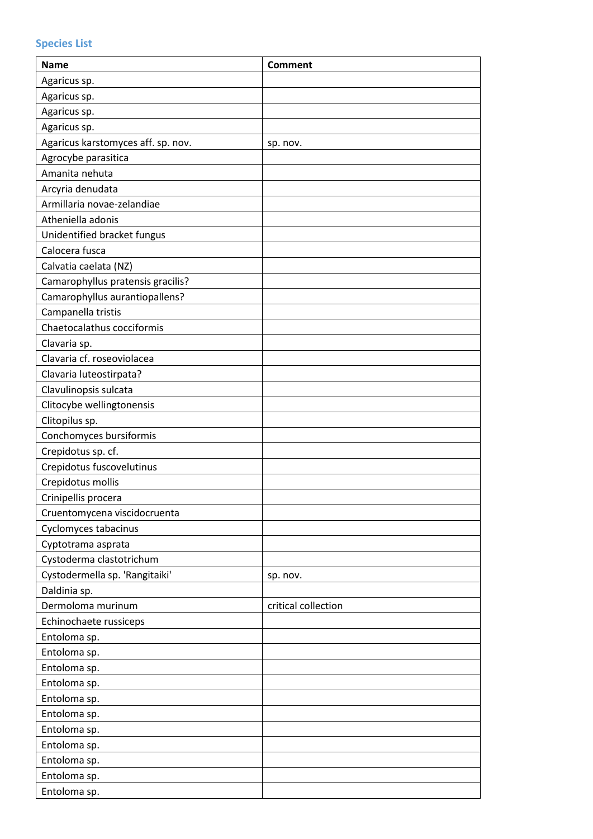| Agaricus sp.<br>Agaricus sp.<br>Agaricus sp.<br>Agaricus sp.<br>Agaricus karstomyces aff. sp. nov.<br>sp. nov.<br>Agrocybe parasitica<br>Amanita nehuta<br>Arcyria denudata<br>Armillaria novae-zelandiae<br>Atheniella adonis<br>Unidentified bracket fungus<br>Calocera fusca<br>Calvatia caelata (NZ)<br>Camarophyllus pratensis gracilis?<br>Camarophyllus aurantiopallens?<br>Campanella tristis<br>Chaetocalathus cocciformis<br>Clavaria sp.<br>Clavaria cf. roseoviolacea<br>Clavaria luteostirpata?<br>Clavulinopsis sulcata<br>Clitocybe wellingtonensis<br>Clitopilus sp.<br>Conchomyces bursiformis<br>Crepidotus sp. cf.<br>Crepidotus fuscovelutinus<br>Crepidotus mollis<br>Crinipellis procera<br>Cruentomycena viscidocruenta<br>Cyclomyces tabacinus<br>Cyptotrama asprata<br>Cystoderma clastotrichum<br>Cystodermella sp. 'Rangitaiki'<br>sp. nov.<br>Daldinia sp.<br>Dermoloma murinum<br>critical collection<br>Echinochaete russiceps<br>Entoloma sp.<br>Entoloma sp.<br>Entoloma sp.<br>Entoloma sp.<br>Entoloma sp.<br>Entoloma sp.<br>Entoloma sp.<br>Entoloma sp.<br>Entoloma sp.<br>Entoloma sp. | <b>Name</b>  | <b>Comment</b> |
|------------------------------------------------------------------------------------------------------------------------------------------------------------------------------------------------------------------------------------------------------------------------------------------------------------------------------------------------------------------------------------------------------------------------------------------------------------------------------------------------------------------------------------------------------------------------------------------------------------------------------------------------------------------------------------------------------------------------------------------------------------------------------------------------------------------------------------------------------------------------------------------------------------------------------------------------------------------------------------------------------------------------------------------------------------------------------------------------------------------------------|--------------|----------------|
|                                                                                                                                                                                                                                                                                                                                                                                                                                                                                                                                                                                                                                                                                                                                                                                                                                                                                                                                                                                                                                                                                                                              |              |                |
|                                                                                                                                                                                                                                                                                                                                                                                                                                                                                                                                                                                                                                                                                                                                                                                                                                                                                                                                                                                                                                                                                                                              |              |                |
|                                                                                                                                                                                                                                                                                                                                                                                                                                                                                                                                                                                                                                                                                                                                                                                                                                                                                                                                                                                                                                                                                                                              |              |                |
|                                                                                                                                                                                                                                                                                                                                                                                                                                                                                                                                                                                                                                                                                                                                                                                                                                                                                                                                                                                                                                                                                                                              |              |                |
|                                                                                                                                                                                                                                                                                                                                                                                                                                                                                                                                                                                                                                                                                                                                                                                                                                                                                                                                                                                                                                                                                                                              |              |                |
|                                                                                                                                                                                                                                                                                                                                                                                                                                                                                                                                                                                                                                                                                                                                                                                                                                                                                                                                                                                                                                                                                                                              |              |                |
|                                                                                                                                                                                                                                                                                                                                                                                                                                                                                                                                                                                                                                                                                                                                                                                                                                                                                                                                                                                                                                                                                                                              |              |                |
|                                                                                                                                                                                                                                                                                                                                                                                                                                                                                                                                                                                                                                                                                                                                                                                                                                                                                                                                                                                                                                                                                                                              |              |                |
|                                                                                                                                                                                                                                                                                                                                                                                                                                                                                                                                                                                                                                                                                                                                                                                                                                                                                                                                                                                                                                                                                                                              |              |                |
|                                                                                                                                                                                                                                                                                                                                                                                                                                                                                                                                                                                                                                                                                                                                                                                                                                                                                                                                                                                                                                                                                                                              |              |                |
|                                                                                                                                                                                                                                                                                                                                                                                                                                                                                                                                                                                                                                                                                                                                                                                                                                                                                                                                                                                                                                                                                                                              |              |                |
|                                                                                                                                                                                                                                                                                                                                                                                                                                                                                                                                                                                                                                                                                                                                                                                                                                                                                                                                                                                                                                                                                                                              |              |                |
|                                                                                                                                                                                                                                                                                                                                                                                                                                                                                                                                                                                                                                                                                                                                                                                                                                                                                                                                                                                                                                                                                                                              |              |                |
|                                                                                                                                                                                                                                                                                                                                                                                                                                                                                                                                                                                                                                                                                                                                                                                                                                                                                                                                                                                                                                                                                                                              |              |                |
|                                                                                                                                                                                                                                                                                                                                                                                                                                                                                                                                                                                                                                                                                                                                                                                                                                                                                                                                                                                                                                                                                                                              |              |                |
|                                                                                                                                                                                                                                                                                                                                                                                                                                                                                                                                                                                                                                                                                                                                                                                                                                                                                                                                                                                                                                                                                                                              |              |                |
|                                                                                                                                                                                                                                                                                                                                                                                                                                                                                                                                                                                                                                                                                                                                                                                                                                                                                                                                                                                                                                                                                                                              |              |                |
|                                                                                                                                                                                                                                                                                                                                                                                                                                                                                                                                                                                                                                                                                                                                                                                                                                                                                                                                                                                                                                                                                                                              |              |                |
|                                                                                                                                                                                                                                                                                                                                                                                                                                                                                                                                                                                                                                                                                                                                                                                                                                                                                                                                                                                                                                                                                                                              |              |                |
|                                                                                                                                                                                                                                                                                                                                                                                                                                                                                                                                                                                                                                                                                                                                                                                                                                                                                                                                                                                                                                                                                                                              |              |                |
|                                                                                                                                                                                                                                                                                                                                                                                                                                                                                                                                                                                                                                                                                                                                                                                                                                                                                                                                                                                                                                                                                                                              |              |                |
|                                                                                                                                                                                                                                                                                                                                                                                                                                                                                                                                                                                                                                                                                                                                                                                                                                                                                                                                                                                                                                                                                                                              |              |                |
|                                                                                                                                                                                                                                                                                                                                                                                                                                                                                                                                                                                                                                                                                                                                                                                                                                                                                                                                                                                                                                                                                                                              |              |                |
|                                                                                                                                                                                                                                                                                                                                                                                                                                                                                                                                                                                                                                                                                                                                                                                                                                                                                                                                                                                                                                                                                                                              |              |                |
|                                                                                                                                                                                                                                                                                                                                                                                                                                                                                                                                                                                                                                                                                                                                                                                                                                                                                                                                                                                                                                                                                                                              |              |                |
|                                                                                                                                                                                                                                                                                                                                                                                                                                                                                                                                                                                                                                                                                                                                                                                                                                                                                                                                                                                                                                                                                                                              |              |                |
|                                                                                                                                                                                                                                                                                                                                                                                                                                                                                                                                                                                                                                                                                                                                                                                                                                                                                                                                                                                                                                                                                                                              |              |                |
|                                                                                                                                                                                                                                                                                                                                                                                                                                                                                                                                                                                                                                                                                                                                                                                                                                                                                                                                                                                                                                                                                                                              |              |                |
|                                                                                                                                                                                                                                                                                                                                                                                                                                                                                                                                                                                                                                                                                                                                                                                                                                                                                                                                                                                                                                                                                                                              |              |                |
|                                                                                                                                                                                                                                                                                                                                                                                                                                                                                                                                                                                                                                                                                                                                                                                                                                                                                                                                                                                                                                                                                                                              |              |                |
|                                                                                                                                                                                                                                                                                                                                                                                                                                                                                                                                                                                                                                                                                                                                                                                                                                                                                                                                                                                                                                                                                                                              |              |                |
|                                                                                                                                                                                                                                                                                                                                                                                                                                                                                                                                                                                                                                                                                                                                                                                                                                                                                                                                                                                                                                                                                                                              |              |                |
|                                                                                                                                                                                                                                                                                                                                                                                                                                                                                                                                                                                                                                                                                                                                                                                                                                                                                                                                                                                                                                                                                                                              |              |                |
|                                                                                                                                                                                                                                                                                                                                                                                                                                                                                                                                                                                                                                                                                                                                                                                                                                                                                                                                                                                                                                                                                                                              |              |                |
|                                                                                                                                                                                                                                                                                                                                                                                                                                                                                                                                                                                                                                                                                                                                                                                                                                                                                                                                                                                                                                                                                                                              |              |                |
|                                                                                                                                                                                                                                                                                                                                                                                                                                                                                                                                                                                                                                                                                                                                                                                                                                                                                                                                                                                                                                                                                                                              |              |                |
|                                                                                                                                                                                                                                                                                                                                                                                                                                                                                                                                                                                                                                                                                                                                                                                                                                                                                                                                                                                                                                                                                                                              |              |                |
|                                                                                                                                                                                                                                                                                                                                                                                                                                                                                                                                                                                                                                                                                                                                                                                                                                                                                                                                                                                                                                                                                                                              |              |                |
|                                                                                                                                                                                                                                                                                                                                                                                                                                                                                                                                                                                                                                                                                                                                                                                                                                                                                                                                                                                                                                                                                                                              |              |                |
|                                                                                                                                                                                                                                                                                                                                                                                                                                                                                                                                                                                                                                                                                                                                                                                                                                                                                                                                                                                                                                                                                                                              |              |                |
|                                                                                                                                                                                                                                                                                                                                                                                                                                                                                                                                                                                                                                                                                                                                                                                                                                                                                                                                                                                                                                                                                                                              |              |                |
|                                                                                                                                                                                                                                                                                                                                                                                                                                                                                                                                                                                                                                                                                                                                                                                                                                                                                                                                                                                                                                                                                                                              |              |                |
|                                                                                                                                                                                                                                                                                                                                                                                                                                                                                                                                                                                                                                                                                                                                                                                                                                                                                                                                                                                                                                                                                                                              |              |                |
|                                                                                                                                                                                                                                                                                                                                                                                                                                                                                                                                                                                                                                                                                                                                                                                                                                                                                                                                                                                                                                                                                                                              |              |                |
|                                                                                                                                                                                                                                                                                                                                                                                                                                                                                                                                                                                                                                                                                                                                                                                                                                                                                                                                                                                                                                                                                                                              |              |                |
|                                                                                                                                                                                                                                                                                                                                                                                                                                                                                                                                                                                                                                                                                                                                                                                                                                                                                                                                                                                                                                                                                                                              |              |                |
|                                                                                                                                                                                                                                                                                                                                                                                                                                                                                                                                                                                                                                                                                                                                                                                                                                                                                                                                                                                                                                                                                                                              | Entoloma sp. |                |

# **Species List**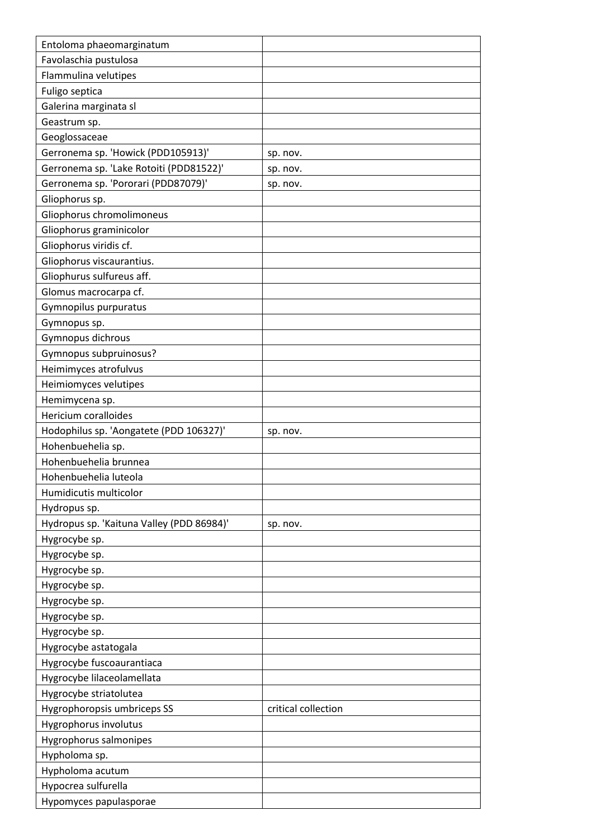| Entoloma phaeomarginatum                              |                     |
|-------------------------------------------------------|---------------------|
| Favolaschia pustulosa                                 |                     |
| Flammulina velutipes                                  |                     |
| Fuligo septica                                        |                     |
| Galerina marginata sl                                 |                     |
| Geastrum sp.                                          |                     |
| Geoglossaceae                                         |                     |
| Gerronema sp. 'Howick (PDD105913)'                    | sp. nov.            |
| Gerronema sp. 'Lake Rotoiti (PDD81522)'               | sp. nov.            |
| Gerronema sp. 'Pororari (PDD87079)'                   | sp. nov.            |
| Gliophorus sp.                                        |                     |
| Gliophorus chromolimoneus                             |                     |
| Gliophorus graminicolor                               |                     |
| Gliophorus viridis cf.                                |                     |
| Gliophorus viscaurantius.                             |                     |
| Gliophurus sulfureus aff.                             |                     |
| Glomus macrocarpa cf.                                 |                     |
| Gymnopilus purpuratus                                 |                     |
| Gymnopus sp.                                          |                     |
| Gymnopus dichrous                                     |                     |
| Gymnopus subpruinosus?                                |                     |
| Heimimyces atrofulvus                                 |                     |
| Heimiomyces velutipes                                 |                     |
| Hemimycena sp.                                        |                     |
| Hericium coralloides                                  |                     |
| Hodophilus sp. 'Aongatete (PDD 106327)'               | sp. nov.            |
| Hohenbuehelia sp.                                     |                     |
| Hohenbuehelia brunnea                                 |                     |
| Hohenbuehelia luteola                                 |                     |
| Humidicutis multicolor                                |                     |
| Hydropus sp.                                          |                     |
| Hydropus sp. 'Kaituna Valley (PDD 86984)'             | sp. nov.            |
| Hygrocybe sp.                                         |                     |
| Hygrocybe sp.                                         |                     |
| Hygrocybe sp.                                         |                     |
| Hygrocybe sp.                                         |                     |
| Hygrocybe sp.                                         |                     |
| Hygrocybe sp.                                         |                     |
| Hygrocybe sp.                                         |                     |
|                                                       |                     |
| Hygrocybe astatogala                                  |                     |
| Hygrocybe fuscoaurantiaca                             |                     |
| Hygrocybe lilaceolamellata                            |                     |
| Hygrocybe striatolutea<br>Hygrophoropsis umbriceps SS | critical collection |
|                                                       |                     |
| Hygrophorus involutus                                 |                     |
| Hygrophorus salmonipes                                |                     |
| Hypholoma sp.                                         |                     |
| Hypholoma acutum                                      |                     |
| Hypocrea sulfurella                                   |                     |
| Hypomyces papulasporae                                |                     |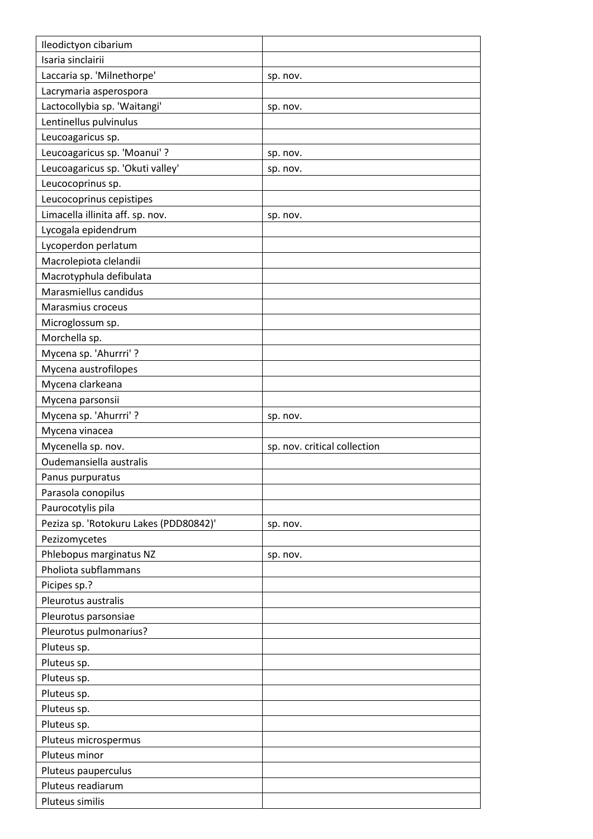| Ileodictyon cibarium                   |                              |
|----------------------------------------|------------------------------|
| Isaria sinclairii                      |                              |
| Laccaria sp. 'Milnethorpe'             | sp. nov.                     |
| Lacrymaria asperospora                 |                              |
| Lactocollybia sp. 'Waitangi'           | sp. nov.                     |
| Lentinellus pulvinulus                 |                              |
| Leucoagaricus sp.                      |                              |
| Leucoagaricus sp. 'Moanui' ?           | sp. nov.                     |
| Leucoagaricus sp. 'Okuti valley'       | sp. nov.                     |
| Leucocoprinus sp.                      |                              |
| Leucocoprinus cepistipes               |                              |
| Limacella illinita aff. sp. nov.       | sp. nov.                     |
| Lycogala epidendrum                    |                              |
| Lycoperdon perlatum                    |                              |
| Macrolepiota clelandii                 |                              |
| Macrotyphula defibulata                |                              |
| Marasmiellus candidus                  |                              |
| Marasmius croceus                      |                              |
| Microglossum sp.                       |                              |
| Morchella sp.                          |                              |
| Mycena sp. 'Ahurrri' ?                 |                              |
| Mycena austrofilopes                   |                              |
| Mycena clarkeana                       |                              |
| Mycena parsonsii                       |                              |
| Mycena sp. 'Ahurrri'?                  | sp. nov.                     |
|                                        |                              |
| Mycena vinacea                         |                              |
| Mycenella sp. nov.                     | sp. nov. critical collection |
| Oudemansiella australis                |                              |
| Panus purpuratus                       |                              |
| Parasola conopilus                     |                              |
| Paurocotylis pila                      |                              |
| Peziza sp. 'Rotokuru Lakes (PDD80842)' | sp. nov.                     |
| Pezizomycetes                          |                              |
| Phlebopus marginatus NZ                | sp. nov.                     |
| Pholiota subflammans                   |                              |
| Picipes sp.?                           |                              |
| Pleurotus australis                    |                              |
| Pleurotus parsonsiae                   |                              |
| Pleurotus pulmonarius?                 |                              |
| Pluteus sp.                            |                              |
| Pluteus sp.                            |                              |
| Pluteus sp.                            |                              |
| Pluteus sp.                            |                              |
| Pluteus sp.                            |                              |
| Pluteus sp.                            |                              |
| Pluteus microspermus                   |                              |
| Pluteus minor                          |                              |
| Pluteus pauperculus                    |                              |
| Pluteus readiarum                      |                              |